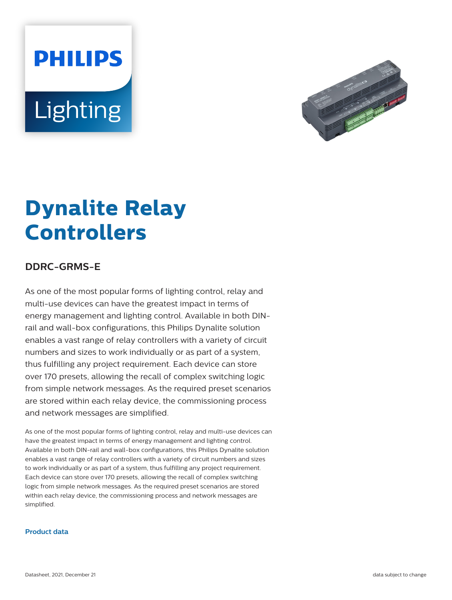# **PHILIPS** Lighting



## **Dynalite Relay Controllers**

### **DDRC-GRMS-E**

As one of the most popular forms of lighting control, relay and multi-use devices can have the greatest impact in terms of energy management and lighting control. Available in both DINrail and wall-box configurations, this Philips Dynalite solution enables a vast range of relay controllers with a variety of circuit numbers and sizes to work individually or as part of a system, thus fulfilling any project requirement. Each device can store over 170 presets, allowing the recall of complex switching logic from simple network messages. As the required preset scenarios are stored within each relay device, the commissioning process and network messages are simplified.

As one of the most popular forms of lighting control, relay and multi-use devices can have the greatest impact in terms of energy management and lighting control. Available in both DIN-rail and wall-box configurations, this Philips Dynalite solution enables a vast range of relay controllers with a variety of circuit numbers and sizes to work individually or as part of a system, thus fulfilling any project requirement. Each device can store over 170 presets, allowing the recall of complex switching logic from simple network messages. As the required preset scenarios are stored within each relay device, the commissioning process and network messages are simplified.

#### **Product data**